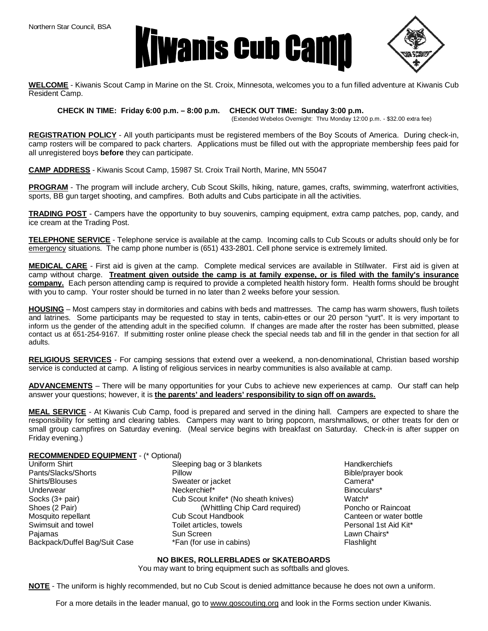

$$
\left\langle \left\langle \left\langle \right\rangle \right\rangle \right\rangle
$$

**WELCOME** - Kiwanis Scout Camp in Marine on the St. Croix, Minnesota, welcomes you to a fun filled adventure at Kiwanis Cub Resident Camp.

**CHECK IN TIME: Friday 6:00 p.m. – 8:00 p.m. CHECK OUT TIME: Sunday 3:00 p.m.** 

(Extended Webelos Overnight: Thru Monday 12:00 p.m. - \$32.00 extra fee)

**REGISTRATION POLICY** - All youth participants must be registered members of the Boy Scouts of America. During check-in, camp rosters will be compared to pack charters. Applications must be filled out with the appropriate membership fees paid for all unregistered boys **before** they can participate.

**CAMP ADDRESS** - Kiwanis Scout Camp, 15987 St. Croix Trail North, Marine, MN 55047

**PROGRAM** - The program will include archery, Cub Scout Skills, hiking, nature, games, crafts, swimming, waterfront activities, sports, BB gun target shooting, and campfires. Both adults and Cubs participate in all the activities.

**TRADING POST** - Campers have the opportunity to buy souvenirs, camping equipment, extra camp patches, pop, candy, and ice cream at the Trading Post.

**TELEPHONE SERVICE** - Telephone service is available at the camp. Incoming calls to Cub Scouts or adults should only be for emergency situations. The camp phone number is (651) 433-2801. Cell phone service is extremely limited.

**MEDICAL CARE** - First aid is given at the camp. Complete medical services are available in Stillwater. First aid is given at camp without charge. Treatment given outside the camp is at family expense, or is filed with the family's insurance **company.** Each person attending camp is required to provide a completed health history form. Health forms should be brought with you to camp. Your roster should be turned in no later than 2 weeks before your session.

**HOUSING** – Most campers stay in dormitories and cabins with beds and mattresses. The camp has warm showers, flush toilets and latrines. Some participants may be requested to stay in tents, cabin-ettes or our 20 person "yurt". It is very important to inform us the gender of the attending adult in the specified column. If changes are made after the roster has been submitted, please contact us at 651-254-9167. If submitting roster online please check the special needs tab and fill in the gender in that section for all adults.

**RELIGIOUS SERVICES** - For camping sessions that extend over a weekend, a non-denominational, Christian based worship service is conducted at camp. A listing of religious services in nearby communities is also available at camp.

**ADVANCEMENTS** – There will be many opportunities for your Cubs to achieve new experiences at camp. Our staff can help answer your questions; however, it is **the parents' and leaders' responsibility to sign off on awards.**

**MEAL SERVICE** - At Kiwanis Cub Camp, food is prepared and served in the dining hall. Campers are expected to share the responsibility for setting and clearing tables. Campers may want to bring popcorn, marshmallows, or other treats for den or small group campfires on Saturday evening. (Meal service begins with breakfast on Saturday. Check-in is after supper on Friday evening.)

## **RECOMMENDED EQUIPMENT** - (\* Optional)

| Uniform Shirt                 | Sleeping bag or 3 blankets          | Handkerchie        |
|-------------------------------|-------------------------------------|--------------------|
| Pants/Slacks/Shorts           | Pillow                              | Bible/prayer       |
| Shirts/Blouses                | Sweater or jacket                   | Camera*            |
| Underwear                     | Neckerchief*                        | Binoculars*        |
| Socks (3+ pair)               | Cub Scout knife* (No sheath knives) | Watch <sup>*</sup> |
| Shoes (2 Pair)                | (Whittling Chip Card required)      | Poncho or R        |
| Mosquito repellant            | <b>Cub Scout Handbook</b>           | Canteen or         |
| Swimsuit and towel            | Toilet articles, towels             | Personal 1s        |
| Pajamas                       | Sun Screen                          | Lawn Chairs        |
| Backpack/Duffel Bag/Suit Case | *Fan (for use in cabins)            | Flashlight         |
|                               |                                     |                    |

ets **Blankets** Shirt Sleeping bag or 3 blankets Handkerchiefs Bible/prayer book Card required) **Poncho or Raincoat** Canteen or water bottle Personal 1st Aid Kit\* Lawn Chairs\*

## **NO BIKES, ROLLERBLADES or SKATEBOARDS**

You may want to bring equipment such as softballs and gloves.

**NOTE** - The uniform is highly recommended, but no Cub Scout is denied admittance because he does not own a uniform.

For a more details in the leader manual, go to [www.goscouting.org](http://www.goscouting.org) and look in the Forms section under Kiwanis.